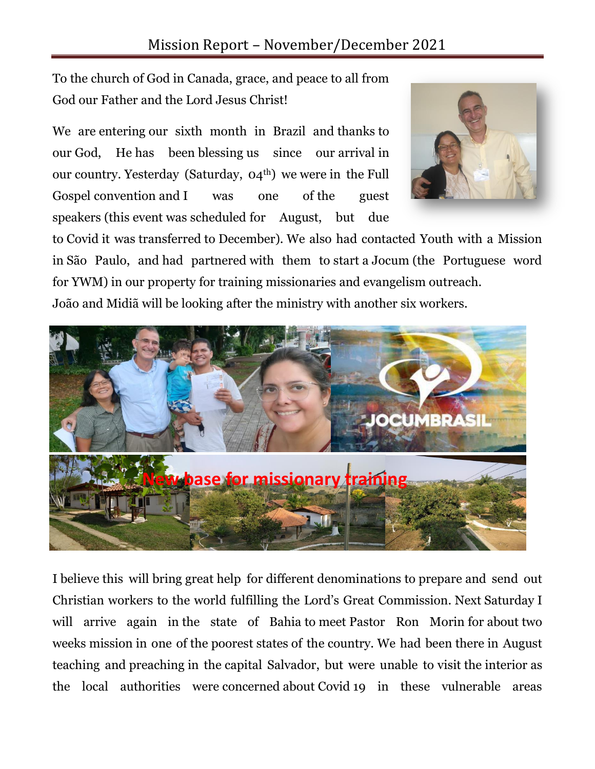To the church of God in Canada, grace, and peace to all from God our Father and the Lord Jesus Christ!

We are entering our sixth month in Brazil and thanks to our God, He has been blessing us since our arrival in our country. Yesterday (Saturday,  $O(4^{th})$ ) we were in the Full Gospel convention and I was one of the guest speakers (this event was scheduled for August, but due



to Covid it was transferred to December). We also had contacted Youth with a Mission in São Paulo, and had partnered with them to start a Jocum (the Portuguese word for YWM) in our property for training missionaries and evangelism outreach. João and Midiã will be looking after the ministry with another six workers.



I believe this will bring great help for different denominations to prepare and send out Christian workers to the world fulfilling the Lord's Great Commission. Next Saturday I will arrive again in the state of Bahia to meet Pastor Ron Morin for about two weeks mission in one of the poorest states of the country. We had been there in August teaching and preaching in the capital Salvador, but were unable to visit the interior as the local authorities were concerned about Covid 19 in these vulnerable areas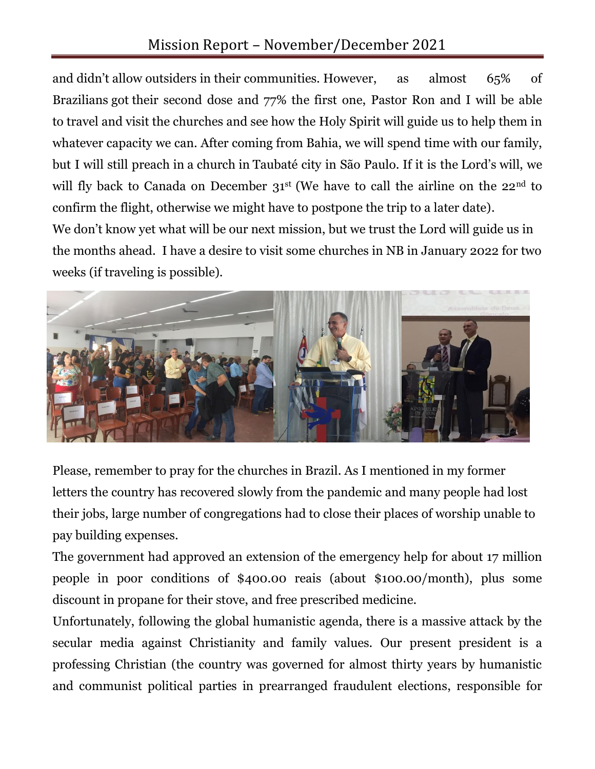## Mission Report – November/December 2021

and didn't allow outsiders in their communities. However, as almost 65% of Brazilians got their second dose and 77% the first one, Pastor Ron and I will be able to travel and visit the churches and see how the Holy Spirit will guide us to help them in whatever capacity we can. After coming from Bahia, we will spend time with our family, but I will still preach in a church in Taubaté city in São Paulo. If it is the Lord's will, we will fly back to Canada on December  $31^{st}$  (We have to call the airline on the  $22^{nd}$  to confirm the flight, otherwise we might have to postpone the trip to a later date).

We don't know yet what will be our next mission, but we trust the Lord will guide us in the months ahead. I have a desire to visit some churches in NB in January 2022 for two weeks (if traveling is possible).



Please, remember to pray for the churches in Brazil. As I mentioned in my former letters the country has recovered slowly from the pandemic and many people had lost their jobs, large number of congregations had to close their places of worship unable to pay building expenses.

The government had approved an extension of the emergency help for about 17 million people in poor conditions of \$400.00 reais (about \$100.00/month), plus some discount in propane for their stove, and free prescribed medicine.

Unfortunately, following the global humanistic agenda, there is a massive attack by the secular media against Christianity and family values. Our present president is a professing Christian (the country was governed for almost thirty years by humanistic and communist political parties in prearranged fraudulent elections, responsible for